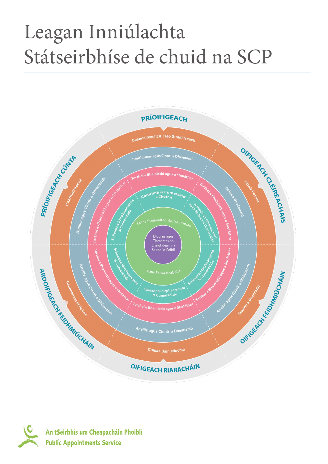## Leagan Inniúlachta Státseirbhíse de chuid na SCP



An tSeirbhís um Cheapacháin Phoiblí **Public Appointments Service**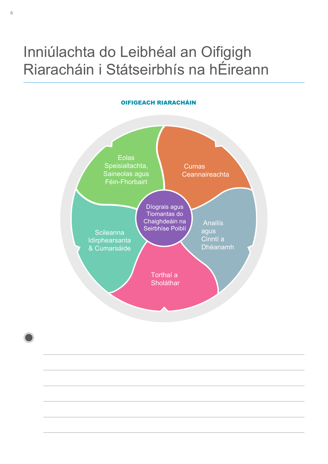## Inniúlachta do Leibhéal an Oifigigh Riaracháin i Státseirbhís na hÉireann

## OIFIGEACH RIARACHÁIN

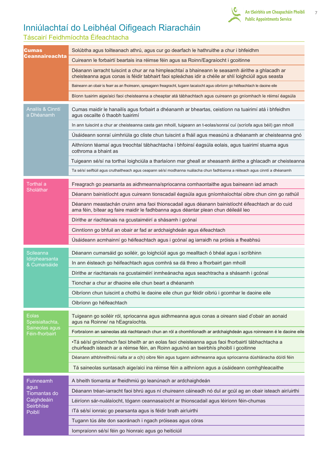

7

## Inniúlachtaí do Leibhéal Oifigeach Riaracháin

Táscairí Feidhmíochta Éifeachtacha

| Cumas<br>Ceannaireachta                                                | Solúbtha agus toilteanach athrú, agus cur go dearfach le hathruithe a chur i bhfeidhm                                                                                                                     |
|------------------------------------------------------------------------|-----------------------------------------------------------------------------------------------------------------------------------------------------------------------------------------------------------|
|                                                                        | Cuireann le forbairtí beartais ina réimse féin agus sa Roinn/Eagraíocht i gcoitinne                                                                                                                       |
|                                                                        | Déanann iarracht tuiscint a chur ar na himpleachtaí a bhaineann le seasamh áirithe a ghlacadh ar<br>cheisteanna agus conas is féidir tabhairt faoi spleáchas idir a chéile ar shlí loighciúil agus seasta |
|                                                                        | Baineann an obair is fearr as an fhoireann, spreagann freagracht, tugann tacaíocht agus oibríonn go héifeachtach le daoine eile                                                                           |
|                                                                        | Bíonn tuairim aige/aici faoi cheisteanna a cheaptar atá tábhachtach agus cuireann go gníomhach le réimsí éagsúla                                                                                          |
| <b>Anailís &amp; Cinntí</b><br>a Dhéanamh                              | Cumas maidir le hanailís agus forbairt a dhéanamh ar bheartas, ceistíonn na tuairimí atá i bhfeidhm<br>agus oscailte ó thaobh tuairimí                                                                    |
|                                                                        | In ann tuiscint a chur ar cheisteanna casta gan mhoill, tuigeann an t-eolas/sonraí cuí (scríofa agus béil) gan mhoill                                                                                     |
|                                                                        | Úsáideann sonraí uimhriúla go cliste chun tuiscint a fháil agus measúnú a dhéanamh ar cheisteanna gnó                                                                                                     |
|                                                                        | Aithníonn téamaí agus treochtaí tábhachtacha i bhfoinsí éagsúla eolais, agus tuairimí stuama agus<br>cothroma a bhaint as                                                                                 |
|                                                                        | Tuigeann sé/sí na torthaí loighciúla a tharlaíonn mar gheall ar sheasamh áirithe a ghlacadh ar cheisteanna                                                                                                |
|                                                                        | Ta sé/sí seiftiúil agus cruthaitheach agus ceapann sé/sí modhanna nuálacha chun fadhbanna a réiteach agus cinntí a dhéanamh                                                                               |
| Torthaí a<br>Sholáthar                                                 | Freagrach go pearsanta as aidhmeanna/spriocanna comhaontaithe agus baineann iad amach                                                                                                                     |
|                                                                        | Déanann bainistíocht agus cuireann tionscadail éagsúla agus gníomhaíochtaí oibre chun cinn go rathúil                                                                                                     |
|                                                                        | Déanann meastachán cruinn ama faoi thionscadail agus déanann bainistíocht éifeachtach ar do cuid<br>ama féin, bítear ag faire maidir le fadhbanna agus déantar plean chun déileáil leo                    |
|                                                                        | Dírithe ar riachtanais na gcustaiméirí a shásamh i gcónaí                                                                                                                                                 |
|                                                                        | Cinntíonn go bhfuil an obair ar fad ar ardchaighdeán agus éifeachtach                                                                                                                                     |
|                                                                        | Úsáideann acmhainní go héifeachtach agus i gcónaí ag iarraidh na próisis a fheabhsú                                                                                                                       |
| <b>Scileanna</b><br>Idirphearsanta<br>& Cumarsáide                     | Déanann cumarsáid go soiléir, go loighciúil agus go mealltach ó bhéal agus i scríbhinn                                                                                                                    |
|                                                                        | In ann éisteach go héifeachtach agus comhrá sa dá threo a fhorbairt gan mhoill                                                                                                                            |
|                                                                        | Dírithe ar riachtanais na gcustaiméirí inmheánacha agus seachtracha a shásamh i gcónaí                                                                                                                    |
|                                                                        | Tionchar a chur ar dhaoine eile chun beart a dhéanamh                                                                                                                                                     |
|                                                                        | Oibríonn chun tuiscint a chothú le daoine eile chun gur féidir oibriú i gcomhar le daoine eile                                                                                                            |
|                                                                        | Oibríonn go héifeachtach                                                                                                                                                                                  |
| Eolas<br>Speisialtachta,<br>Saineolas agus<br>Féin-fhorbairt           | Tuigeann go soiléir ról, spriocanna agus aidhmeanna agus conas a oireann siad d'obair an aonaid<br>agus na Roinne/ na hEagraíochta.                                                                       |
|                                                                        | Forbraíonn an saineolas atá riachtanach chun an ról a chomhlíonadh ar ardchaighdeán agus roinneann é le daoine eile                                                                                       |
|                                                                        | ·Tá sé/sí gníomhach faoi bheith ar an eolas faoi cheisteanna agus faoi fhorbairtí tábhachtacha a<br>chuirfeadh isteach ar a réimse féin, an Roinn agus/nó an tseirbhís phoiblí i gcoitinne                |
|                                                                        | Déanann athbhreithniú rialta ar a c(h) oibre féin agus tugann aidhmeanna agus spriocanna dúshlánacha dó/di féin                                                                                           |
|                                                                        | Tá saineolas suntasach aige/aici ina réimse féin a aithníonn agus a úsáideann comhghleacaithe                                                                                                             |
| Fuinneamh<br>agus<br>Tiomantas do<br>Caighdeáin<br>Seirbhíse<br>Poiblí | A bheith tiomanta ar fheidhmiú go leanúnach ar ardchaighdeán                                                                                                                                              |
|                                                                        | Déanann tréan-iarracht faoi bhrú agus ní chuireann cáineadh nó dul ar gcúl ag an obair isteach air/uirthi                                                                                                 |
|                                                                        | Léiríonn sár-nuálaíocht, tógann ceannasaíocht ar thionscadail agus léiríonn féin-chumas                                                                                                                   |
|                                                                        | ITá sé/sí ionraic go pearsanta agus is féidir brath air/uirthi                                                                                                                                            |
|                                                                        | Tugann tús áite don saoránach i ngach próiseas agus córas                                                                                                                                                 |
|                                                                        | lompraíonn sé/sí féin go hionraic agus go heiticiúil                                                                                                                                                      |